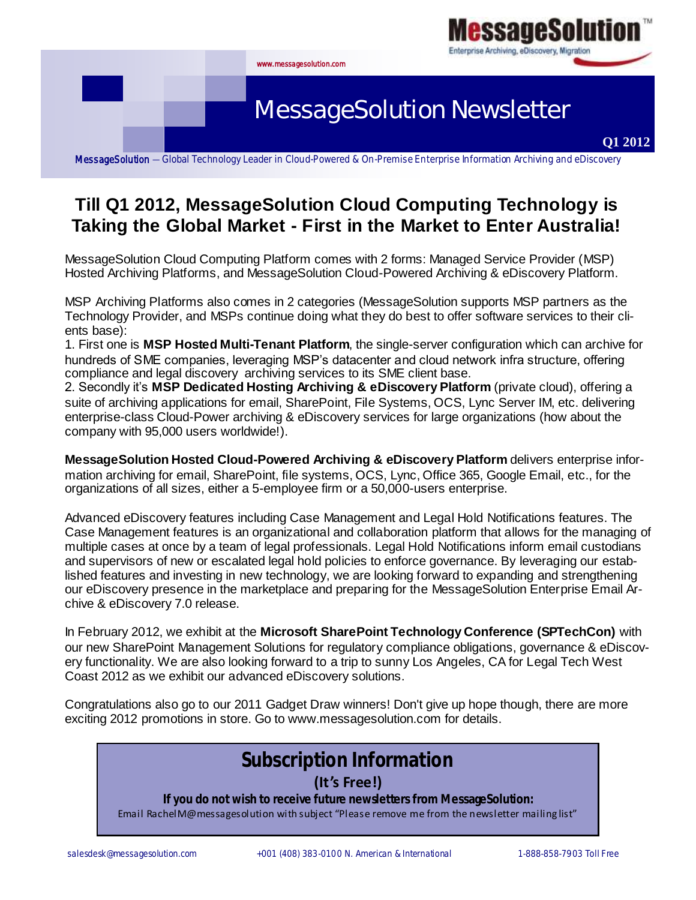

## **Till Q1 2012, MessageSolution Cloud Computing Technology is Taking the Global Market - First in the Market to Enter Australia!**

MessageSolution Cloud Computing Platform comes with 2 forms: Managed Service Provider (MSP) Hosted Archiving Platforms, and MessageSolution Cloud-Powered Archiving & eDiscovery Platform.

MSP Archiving Platforms also comes in 2 categories (MessageSolution supports MSP partners as the Technology Provider, and MSPs continue doing what they do best to offer software services to their clients base):

1. First one is **MSP Hosted Multi-Tenant Platform**, the single-server configuration which can archive for hundreds of SME companies, leveraging MSP's datacenter and cloud network infra structure, offering compliance and legal discovery archiving services to its SME client base.

2. Secondly it's **MSP Dedicated Hosting Archiving & eDiscovery Platform** (private cloud), offering a suite of archiving applications for email, SharePoint, File Systems, OCS, Lync Server IM, etc. delivering enterprise-class Cloud-Power archiving & eDiscovery services for large organizations (how about the company with 95,000 users worldwide!).

**MessageSolution Hosted Cloud-Powered Archiving & eDiscovery Platform** delivers enterprise information archiving for email, SharePoint, file systems, OCS, Lync, Office 365, Google Email, etc., for the organizations of all sizes, either a 5-employee firm or a 50,000-users enterprise.

Advanced eDiscovery features including Case Management and Legal Hold Notifications features. The Case Management features is an organizational and collaboration platform that allows for the managing of multiple cases at once by a team of legal professionals. Legal Hold Notifications inform email custodians and supervisors of new or escalated legal hold policies to enforce governance. By leveraging our established features and investing in new technology, we are looking forward to expanding and strengthening our eDiscovery presence in the marketplace and preparing for the MessageSolution Enterprise Email Archive & eDiscovery 7.0 release.

In February 2012, we exhibit at the **Microsoft SharePoint Technology Conference (SPTechCon)** with our new SharePoint Management Solutions for regulatory compliance obligations, governance & eDiscovery functionality. We are also looking forward to a trip to sunny Los Angeles, CA for Legal Tech West Coast 2012 as we exhibit our advanced eDiscovery solutions.

Congratulations also go to our 2011 Gadget Draw winners! Don't give up hope though, there are more exciting 2012 promotions in store. Go to www.messagesolution.com for details.

## **Subscription Information (It's Free!)**

**If you do not wish to receive future newsletters from MessageSolution:** Email RachelM@messagesolution with subject "Please remove me from the newsletter mailing list"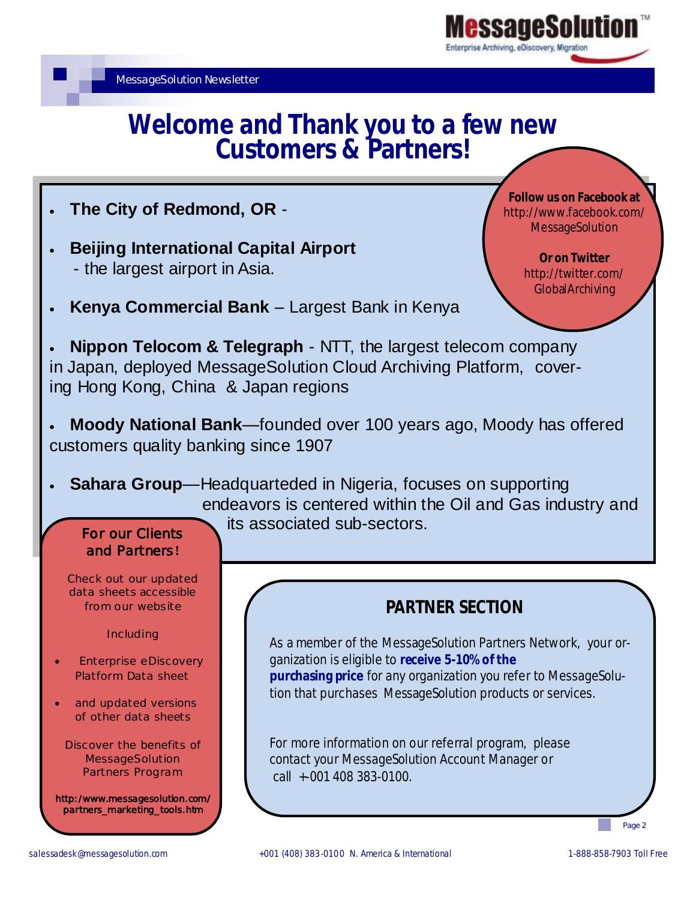# **Welcome and Thank you to a few new Customers & Partners!**

- **The City of Redmond, OR** -
- **Beijing International Capital Airport**  - the largest airport in Asia.

**Follow us on Facebook at** http://www.facebook.com/ **MessageSolution** 

> **Or on Twitter**  http://twitter.com/ **GlobalArchiving**

**Kenya Commercial Bank** – Largest Bank in Kenya

 **Nippon Telocom & Telegraph** - NTT, the largest telecom company in Japan, deployed MessageSolution Cloud Archiving Platform, covering Hong Kong, China & Japan regions

- **Moody National Bank**—founded over 100 years ago, Moody has offered customers quality banking since 1907
- **Sahara Group**—Headquarteded in Nigeria, focuses on supporting endeavors is centered within the Oil and Gas industry and its associated sub-sectors.

## For our Clients and Partners**!**

Check out our updated data sheets accessible from our website

Including

- Enterprise eDiscovery Platform Data sheet
- and updated versions of other data sheets

Discover the benefits of **MessageSolution** Partners Program

http:/www.messagesolution.com/ partners\_marketing\_tools.htm

## **PARTNER SECTION**

As a member of the MessageSolution Partners Network, your organization is eligible to **receive 5-10% of the purchasing price** for any organization you refer to MessageSolution that purchases MessageSolution products or services.

For more information on our referral program, please contact your MessageSolution Account Manager or call +-001 408 383-0100.

Page 2